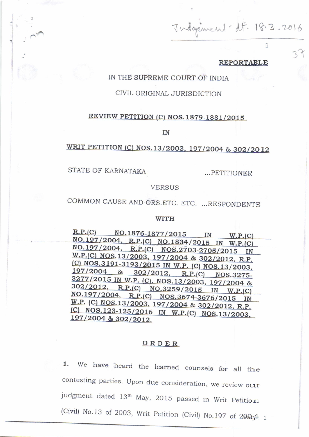$J$  indergenice 18.3.2016

## **REPORTABLE**

^f

1

## IN THE SUPREME COURT OF INDIA

## CIVIL ORIGINAL JURISDICTION

## REVIEW PETITION (C) NOS. 1879-1881/2015

IN

# WRIT PETITION (C) NOS.13/2003, 197/2004 & 302/2012

STATE OF KARNATAKA

...PETITIONER

### VERSUS

COMMON CAUSE AND ORS.ETC. ETC. ...RESPONDENTS

#### WITH

 $R.P.(C)$  NO.1876-1877/2015 IN W.P.(C) NO.197/2004, R.P.(C) NO.1834/2015 IN W.P.(C) NO.197/2004, R.P.(C) NOS.2703-2705/2015 IN  $W.P.(C) NOS.13/2003, 197/2004 & 302/2012, R.P.$ (C) NOS.3191-3193/2015 IN W.P. (C) NOS.13/2003,  $\frac{197/2004}{8}$   $\frac{8}{302/2012}$ , R.P.(C) NOS.3275-<br>3277/2015 IN W.D. (2012). R.P.(C) NOS.3275- $\frac{3277}{2015}$  IN W.P. (C). NOS.13/2003, 197/2004 &  $\frac{302/2012}{NQ}$ , R.P.(C) NO.3259/2015 IN W.P.(C) NO.197/2004, R.P.(C) NOS.3674-3676/2015 IN W.P. (C) NOS.13/2003, 197/2004 & 302/2012, R.P. (C) NOS.123-125/2016 IN W.P.(C) NOS.13/2003, 197/2004 & 302/2012.

## ORDER

1. We have heard the learned counsels for all the contesting parties. Upon due consideration, we review our judgment dated 13<sup>th</sup> May, 2015 passed in Writ Petition (Civil) No.13 of 2003, Writ Petition (Civil) No.197 of 2005 $\pm$  1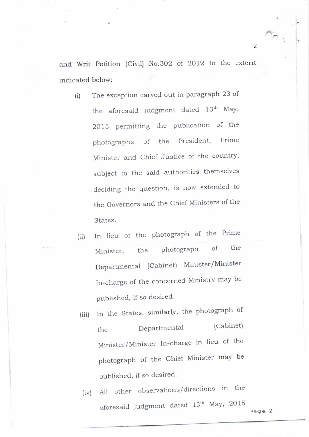and Writ Petition (Civil) No.302 of 2012 to the extent indicated below:

- (i) The exception carved out in paragraph 23 of the aforesaid judgment dated 13<sup>th</sup> May, <sup>20</sup>15 permitting the publication of the photographs of the President, Prime Minister and Chief Justice of the country, subject to the said authorities themselves deciding the question, is now extended to the Governors and the Chief Ministers of the States.
- (ii) In lieu of the photograph of the Prime Minister, the photograph of the Departmental (Cabinet) Minister/Minister In-charge of the concerned Ministry may be published, if so desired.
- (iii) In the States, similarly, the photograph of the Departmental (Cabinet) Minister/Minister In-charge in lieu of the photograph of the Chief Minister may be published, if so desired.
	- (iv) All other observations/ directions in the aforesaid judgment dated 13th May, 2015

 $\triangle$ 

2

i.

:<br>|<br>|<br>|<br>|<br>|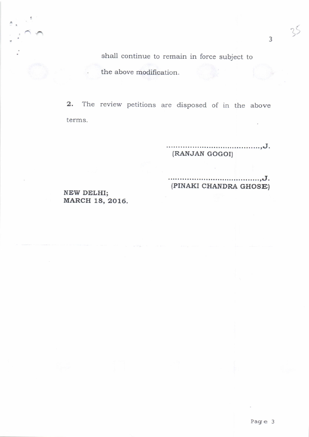shall continue to remain in force subject to the above modification.

2. The review petitions are disposed of in the above terms.

'Hd;";';;;;i"""""""'

'E\*d;;';";i;';;'&;;;

NEW DELHI; MARCH 18,2016.